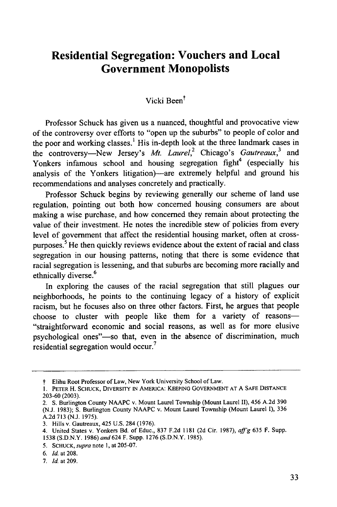# **Residential Segregation: Vouchers and Local Government Monopolists**

# Vicki Been<sup>t</sup>

Professor Schuck has given us a nuanced, thoughtful and provocative view of the controversy over efforts to "open up the suburbs" to people of color and the poor and working classes.' His in-depth look at the three landmark cases in the controversy-New Jersey's *Mt. Laurel*,<sup>2</sup> Chicago's *Gautreaux*,<sup>3</sup> and Yonkers infamous school and housing segregation fight<sup>4</sup> (especially his analysis of the Yonkers litigation)-are extremely helpful and ground his recommendations and analyses concretely and practically.

Professor Schuck begins by reviewing generally our scheme of land use regulation, pointing out both how concerned housing consumers are about making a wise purchase, and how concerned they remain about protecting the value of their investment. He notes the incredible stew of policies from every level of government that affect the residential housing market, often at crosspurposes.<sup>5</sup> He then quickly reviews evidence about the extent of racial and class segregation in our housing patterns, noting that there is some evidence that racial segregation is lessening, and that suburbs are becoming more racially and ethnically diverse.<sup>6</sup>

In exploring the causes of the racial segregation that still plagues our neighborhoods, he points to the continuing legacy of a history of explicit racism, but he focuses also on three other factors. First, he argues that people choose to cluster with people like them for a variety of reasons-"straightforward economic and social reasons, as well as for more elusive psychological ones"-so that, even in the absence of discrimination, much residential segregation would occur.<sup>7</sup>

t Elihu Root Professor of Law, New York University School of Law. **1.** PETER H. **SCHUCK,** DIVERSITY **IN** AMERICA: **KEEPING** GOVERNMENT **AT A SAFE DISTANCE** 203-60 (2003).

<sup>2.</sup> **S.** Burlington County NAAPC v. Mount Laurel Township (Mount Laurel II), 456 A.2d 390 (N.J. 1983); **S.** Burlington County NAAPC v. Mount Laurel Township (Mount Laurel I), 336 A.2d 713 (N.J. 1975).

<sup>3.</sup> Hills v. Gautreaux, 425 U.S. 284 (1976).

<sup>4.</sup> United States v. Yonkers Bd. of Educ., 837 F.2d 1181 (2d Cir. 1987), aff'g 635 F. Supp. 1538 (S.D.N.Y. 1986) *and* 624 F. Supp. 1276 (S.D.N.Y. 1985).

<sup>5.</sup> SCHUCK, *supra* note **1,** at 205-07.

<sup>6.</sup> *Id.* at 208.

<sup>7.</sup> *Id.* at 209.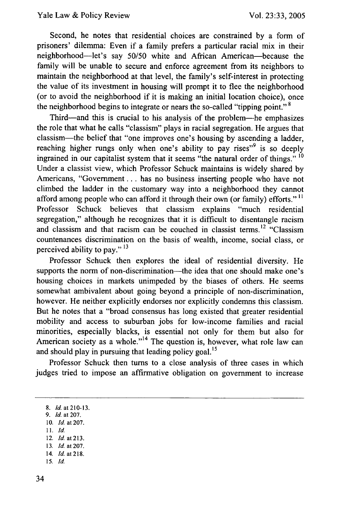Second, he notes that residential choices are constrained by a form of prisoners' dilemma: Even if a family prefers a particular racial mix in their neighborhood—let's say 50/50 white and African American—because the family will be unable to secure and enforce agreement from its neighbors to maintain the neighborhood at that level, the family's self-interest in protecting the value of its investment in housing will prompt it to flee the neighborhood (or to avoid the neighborhood if it is making an initial location choice), once the neighborhood begins to integrate or nears the so-called "tipping point." **8**

Third-and this is crucial to his analysis of the problem-he emphasizes the role that what he calls "classism" plays in racial segregation. He argues that classism-the belief that "one improves one's housing by ascending a ladder, reaching higher rungs only when one's ability to pay rises"<sup>9</sup> is so deeply ingrained in our capitalist system that it seems "the natural order of things."  $10$ Under a classist view, which Professor Schuck maintains is widely shared by Americans, "Government... has no business inserting people who have not climbed the ladder in the customary way into a neighborhood they cannot afford among people who can afford it through their own (or family) efforts." **11** Professor Schuck believes that classism explains "much residential segregation," although he recognizes that it is difficult to disentangle racism and classism and that racism can be couched in classist terms.<sup>12</sup> "Classism" countenances discrimination on the basis of wealth, income, social class, or perceived ability to pay." 13

Professor Schuck then explores the ideal of residential diversity. He supports the norm of non-discrimination—the idea that one should make one's housing choices in markets unimpeded by the biases of others. He seems somewhat ambivalent about going beyond a principle of non-discrimination, however. He neither explicitly endorses nor explicitly condemns this classism. But he notes that a "broad consensus has long existed that greater residential mobility and access to suburban jobs for low-income families and racial minorities, especially blacks, is essential not only for them but also for American society as a whole."<sup>14</sup> The question is, however, what role law can and should play in pursuing that leading policy goal.<sup>15</sup>

Professor Schuck then turns to a close analysis of three cases in which judges tried to impose an affirmative obligation on government to increase

- 10. *Id.* at **207.**
- **11.** *Id.*
- 12. *Id.* at213.
- 13. *Id.* at **207.** 14. *Id.* at218.
- *15. Id.*

<sup>8.</sup> *ld.* at **210-13.**

*<sup>9.</sup> Id.* at 207.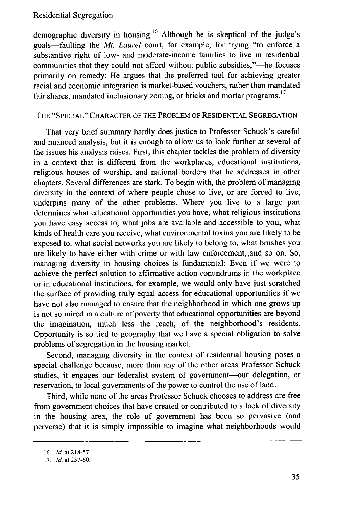#### Residential Segregation

demographic diversity in housing.<sup>16</sup> Although he is skeptical of the judge's goals-faulting the *Mt. Laurel* court, for example, for trying "to enforce a substantive right of low- and moderate-income families to live in residential communities that they could not afford without public subsidies,"—he focuses primarily on remedy: He argues that the preferred tool for achieving greater racial and economic integration is market-based vouchers, rather than mandated fair shares, mandated inclusionary zoning, or bricks and mortar programs.<sup>17</sup>

## THE "SPECIAL" CHARACTER OF THE PROBLEM OF **RESIDENTIAL** SEGREGATION

That very brief summary hardly does justice to Professor Schuck's careful and nuanced analysis, but it is enough to allow us to look further at several of the issues his analysis raises. First, this chapter tackles the problem of diversity in a context that is different from the workplaces, educational institutions, religious houses of worship, and national borders that he addresses in other chapters. Several differences are stark. To begin with, the problem of managing diversity in the context of where people chose to live, or are forced to live, underpins many of the other problems. Where you live to a large part determines what educational opportunities you have, what religious institutions you have easy access to, what jobs are available and accessible to you, what kinds of health care you receive, what environmental toxins you are likely to be exposed to, what social networks you are likely to belong to, what brushes you are likely to have either with crime or with law enforcement, ,and so on. So, managing diversity in housing choices is fundamental: Even if we were to achieve the perfect solution to affirmative action conundrums in the workplace or in educational institutions, for example, we would only have just scratched the surface of providing truly equal access for educational opportunities if we have not also managed to ensure that the neighborhood in which one grows up is not so mired in a culture of poverty that educational opportunities are beyond the imagination, much less the reach, of the neighborhood's residents. Opportunity is so tied to geography that we have a special obligation to solve problems of segregation in the housing market.

Second, managing diversity in the context of residential housing poses a special challenge because, more than any of the other areas Professor Schuck studies, it engages our federalist system of government-our delegation, or reservation, to local governments of the power to control the use of land.

Third, while none of the areas Professor Schuck chooses to address are free from government choices that have created or contributed to a lack of diversity in the housing area, the role of government has been so pervasive (and perverse) that it is simply impossible to imagine what neighborhoods would

**<sup>16.</sup>** *Id.* at **218-57.**

**<sup>17.</sup>** *Id.* at **257-60.**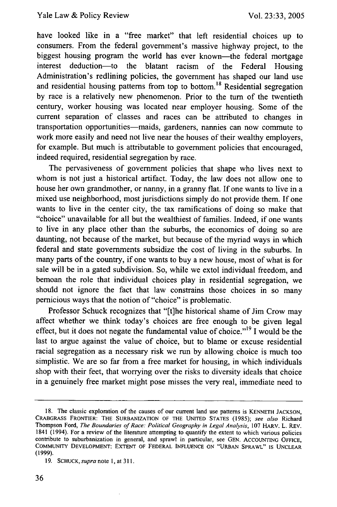have looked like in a "free market" that left residential choices up to consumers. From the federal government's massive highway project, to the biggest housing program the world has ever known—the federal mortgage interest deduction-to the blatant racism of the Federal Housing Administration's redlining policies, the government has shaped our land use and residential housing patterns from top to bottom.<sup>18</sup> Residential segregation by race is a relatively new phenomenon. Prior to the turn of the twentieth century, worker housing was located near employer housing. Some of the current separation of classes and races can be attributed to changes in transportation opportunities-maids, gardeners, nannies can now commute to work more easily and need not live near the houses of their wealthy employers, for example. But much is attributable to government policies that encouraged, indeed required, residential segregation by race.

The pervasiveness of government policies that shape who lives next to whom is not just a historical artifact. Today, the law does not allow one to house her own grandmother, or nanny, in a granny flat. If one wants to live in a mixed use neighborhood, most jurisdictions simply do not provide them. If one wants to live in the center city, the tax ramifications of doing so make that "choice" unavailable for all but the wealthiest of families. Indeed, if one wants to live in any place other than the suburbs, the economics of doing so are daunting, not because of the market, but because of the myriad ways in which federal and state governments subsidize the cost of living in the suburbs. In many parts of the country, if one wants to buy a new house, most of what is for sale will be in a gated subdivision. So, while we extol individual freedom, and bemoan the role that individual choices play in residential segregation, we shouild not ignore the fact that law constrains those choices in so many pernicious ways that the notion of "choice" is problematic.

Professor Schuck recognizes that "[t]he historical shame of Jim Crow may affect whether we think today's choices are free enough to be given legal effect, but it does not negate the fundamental value of choice."<sup>19</sup> I would be the last to argue against the value of choice, but to blame or excuse residential racial segregation as a necessary risk we run by allowing choice is much too simplistic. We are so far from a free market for housing, in which individuals shop with their feet, that worrying over the risks to diversity ideals that choice in a genuinely free market might pose misses the very real, immediate need to

**<sup>18.</sup>** The classic exploration of the causes of our current land use patterns is **KENNETH** JACKSON, CRABGRASS FRONTIER: THE SURBANIZATION OF THE **UNITED STATES** (1985); *see also* Richard Thompson Ford, *The Boundaries of Race: Political Geography in Legal Analysis,* 107 HARV. L. REV. 1841 (1994). For a review of the literature attempting to quantify the extent to which various policies contribute to suburbanization in general, and sprawl in particular, see GEN. **ACCOUNTING OFFICE,** COMMUNITY **DEVELOPMENT: EXTENT** OF FEDERAL **INFLUENCE ON "URBAN** SPRAWL" IS **UNCLEAR** (1999).

<sup>19.</sup> SCHUCK, *supra* note **1,** at 311.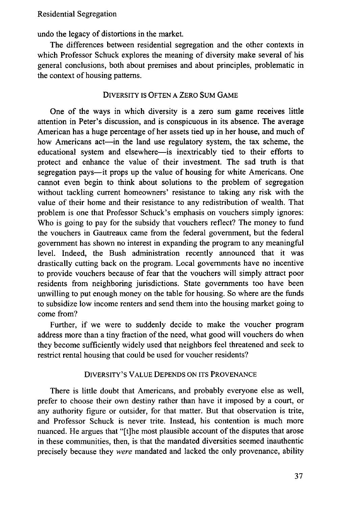undo the legacy of distortions in the market.

The differences between residential segregation and the other contexts in which Professor Schuck explores the meaning of diversity make several of his general conclusions, both about premises and about principles, problematic in the context of housing patterns.

#### DIVERSITY IS OFTEN A ZERO SUM GAME

One of the ways in which diversity is a zero sum game receives little attention in Peter's discussion, and is conspicuous in its absence. The average American has a huge percentage of her assets tied up in her house, and much of how Americans act-in the land use regulatory system, the tax scheme, the educational system and elsewhere-is inextricably tied to their efforts to protect and enhance the value of their investment. The sad truth is that segregation pays—it props up the value of housing for white Americans. One cannot even begin to think about solutions to the problem of segregation without tackling current homeowners' resistance to taking any risk with the value of their home and their resistance to any redistribution of wealth. That problem is one that Professor Schuck's emphasis on vouchers simply ignores: Who is going to pay for the subsidy that vouchers reflect? The money to fund the vouchers in Gautreaux came from the federal government, but the federal government has shown no interest in expanding the program to any meaningful level. Indeed, the Bush administration recently announced that it was drastically cutting back on the program. Local governments have no incentive to provide vouchers because of fear that the vouchers will simply attract poor residents from neighboring jurisdictions. State governments too have been unwilling to put enough money on the table for housing. So where are the funds to subsidize low income renters and send them into the housing market going to come from?

Further, if we were to suddenly decide to make the voucher program address more than a tiny fraction of the need, what good will vouchers do when they become sufficiently widely used that neighbors feel threatened and seek to restrict rental housing that could be used for voucher residents?

### DIVERSITY'S VALUE DEPENDS ON ITS PROVENANCE

There is little doubt that Americans, and probably everyone else as well, prefer to choose their own destiny rather than have it imposed by a court, or any authority figure or outsider, for that matter. But that observation is trite, and Professor Schuck is never trite. Instead, his contention is much more nuanced. He argues that "[t]he most plausible account of the disputes that arose in these communities, then, is that the mandated diversities seemed inauthentic precisely because they were mandated and lacked the only provenance, ability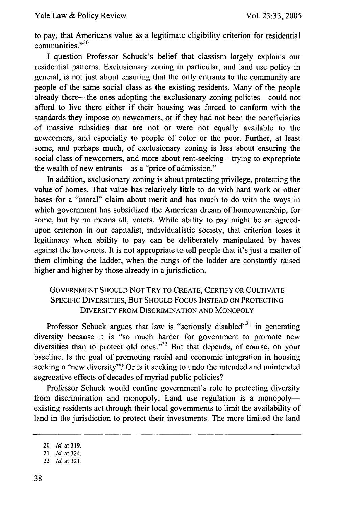to pay, that Americans value as a legitimate eligibility criterion for residential communities." $^{20}$ 

I question Professor Schuck's belief that classism largely explains our residential patterns. Exclusionary zoning in particular, and land use policy in general, is not just about ensuring that the only entrants to the community are people of the same social class as the existing residents. Many of the people already there—the ones adopting the exclusionary zoning policies—could not afford to live there either if their housing was forced to conform with the standards they impose on newcomers, or if they had not been the beneficiaries of massive subsidies that are not or were not equally available to the newcomers, and especially to people of color or the poor. Further, at least some, and perhaps much, of exclusionary zoning is less about ensuring the social class of newcomers, and more about rent-seeking—trying to expropriate the wealth of new entrants-as a "price of admission."

In addition, exclusionary zoning is about protecting privilege, protecting the value of homes. That value has relatively little to do with hard work or other bases for a "moral" claim about merit and has much to do with the ways in which government has subsidized the American dream of homeownership, for some, but by no means all, voters. While ability to pay might be an agreedupon criterion in our capitalist, individualistic society, that criterion loses it legitimacy when ability to pay can be deliberately manipulated by haves against the have-nots. It is not appropriate to tell people that it's just a matter of them climbing the ladder, when the rungs of the ladder are constantly raised higher and higher by those already in a jurisdiction.

# GOVERNMENT SHOULD **NOT** TRY TO CREATE, CERTIFY OR CULTIVATE SPECIFIC DIVERSITIES, BUT SHOULD FOCUS INSTEAD ON PROTECTING DIVERSITY FROM DISCRIMINATION AND MONOPOLY

Professor Schuck argues that law is "seriously disabled"<sup>21</sup> in generating diversity because it is "so much harder for government to promote new diversities than to protect old ones."<sup>22</sup> But that depends, of course, on your baseline. Is the goal of promoting racial and economic integration in housing seeking a "new diversity"? Or is it seeking to undo the intended and unintended segregative effects of decades of myriad public policies?

Professor Schuck would confine government's role to protecting diversity from discrimination and monopoly. Land use regulation is a monopolyexisting residents act through their local governments to limit the availability of land in the jurisdiction to protect their investments. The more limited the land

<sup>20.</sup> *Id.* at 319.

<sup>21.</sup> *Id.* at 324.

<sup>22.</sup> *Id.* at 321.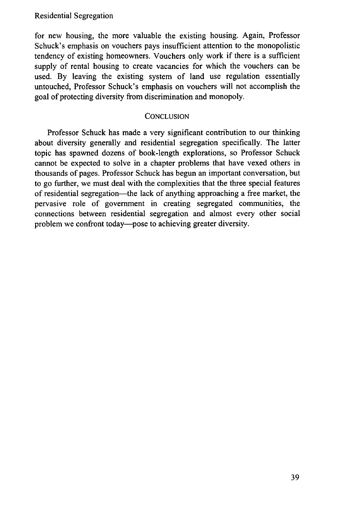for new housing, the more valuable the existing housing. Again, Professor Schuck's emphasis on vouchers pays insufficient attention to the monopolistic tendency of existing homeowners. Vouchers only work if there is a sufficient supply of rental housing to create vacancies for which the vouchers can be used. By leaving the existing system of land use regulation essentially untouched, Professor Schuck's emphasis on vouchers will not accomplish the goal of protecting diversity from discrimination and monopoly.

#### **CONCLUSION**

Professor Schuck has made a very significant contribution to our thinking about diversity generally and residential segregation specifically. The latter topic has spawned dozens of book-length explorations, so Professor Schuck cannot be expected to solve in a chapter problems that have vexed others in thousands of pages. Professor Schuck has begun an important conversation, but to go further, we must deal with the complexities that the three special features of residential segregation—the lack of anything approaching a free market, the pervasive role of government in creating segregated communities, the connections between residential segregation and almost every other social problem we confront today—pose to achieving greater diversity.